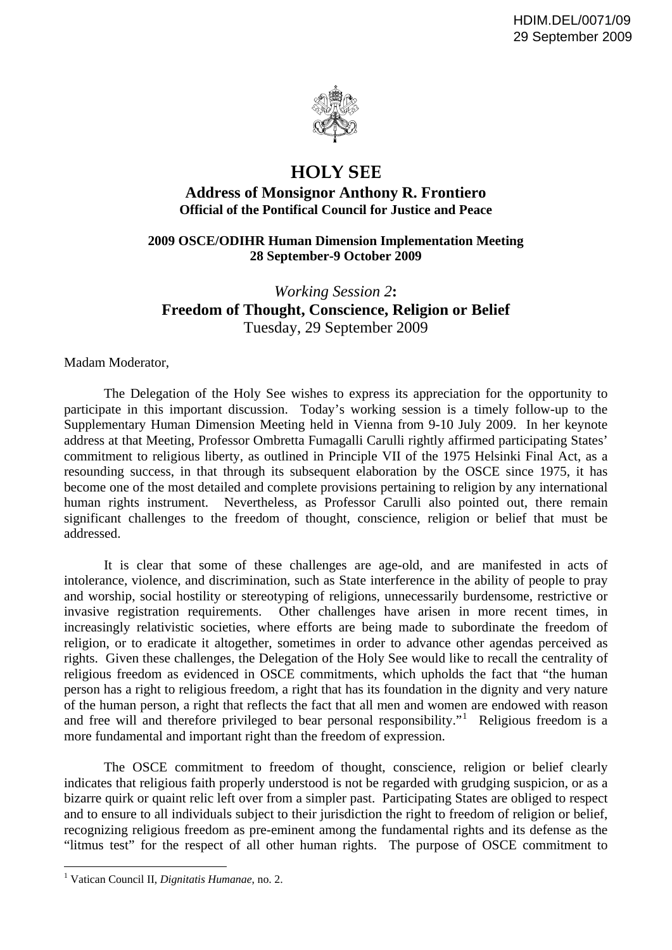

## **HOLY SEE**

## **Address of Monsignor Anthony R. Frontiero Official of the Pontifical Council for Justice and Peace**

## **2009 OSCE/ODIHR Human Dimension Implementation Meeting 28 September-9 October 2009**

## *Working Session 2***: Freedom of Thought, Conscience, Religion or Belief**  Tuesday, 29 September 2009

Madam Moderator,

 The Delegation of the Holy See wishes to express its appreciation for the opportunity to participate in this important discussion. Today's working session is a timely follow-up to the Supplementary Human Dimension Meeting held in Vienna from 9-10 July 2009. In her keynote address at that Meeting, Professor Ombretta Fumagalli Carulli rightly affirmed participating States' commitment to religious liberty, as outlined in Principle VII of the 1975 Helsinki Final Act, as a resounding success, in that through its subsequent elaboration by the OSCE since 1975, it has become one of the most detailed and complete provisions pertaining to religion by any international human rights instrument. Nevertheless, as Professor Carulli also pointed out, there remain significant challenges to the freedom of thought, conscience, religion or belief that must be addressed.

 It is clear that some of these challenges are age-old, and are manifested in acts of intolerance, violence, and discrimination, such as State interference in the ability of people to pray and worship, social hostility or stereotyping of religions, unnecessarily burdensome, restrictive or invasive registration requirements. Other challenges have arisen in more recent times, in increasingly relativistic societies, where efforts are being made to subordinate the freedom of religion, or to eradicate it altogether, sometimes in order to advance other agendas perceived as rights. Given these challenges, the Delegation of the Holy See would like to recall the centrality of religious freedom as evidenced in OSCE commitments, which upholds the fact that "the human person has a right to religious freedom, a right that has its foundation in the dignity and very nature of the human person, a right that reflects the fact that all men and women are endowed with reason and free will and therefore privileged to bear personal responsibility."<sup>[1](#page-0-0)</sup> Religious freedom is a more fundamental and important right than the freedom of expression.

 The OSCE commitment to freedom of thought, conscience, religion or belief clearly indicates that religious faith properly understood is not be regarded with grudging suspicion, or as a bizarre quirk or quaint relic left over from a simpler past. Participating States are obliged to respect and to ensure to all individuals subject to their jurisdiction the right to freedom of religion or belief, recognizing religious freedom as pre-eminent among the fundamental rights and its defense as the "litmus test" for the respect of all other human rights. The purpose of OSCE commitment to

 $\overline{a}$ 

<span id="page-0-0"></span><sup>1</sup> Vatican Council II, *Dignitatis Humanae*, no. 2.